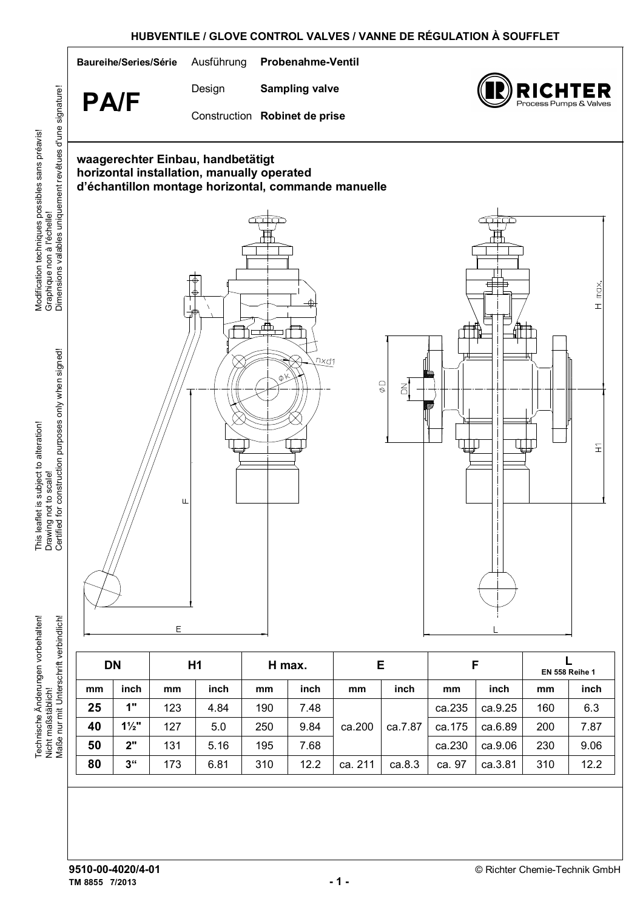

This leaflet is subject to alteration! This leaflet is subject to alteration! Drawing not to scale! Technische Änderungen vorbehalten! rbindlich! Technische Änderungen vorbehalten!

Modification techniques possibles sans préavis!

Modification techniques possibles sans préavis!

Graphique non à l'échelle!

| Nicht maßstäblich!<br>Maße nur mit Unterschrift verbindlich! |    |                 | Е              |      |        |      |         |         |        |         |                       |      |
|--------------------------------------------------------------|----|-----------------|----------------|------|--------|------|---------|---------|--------|---------|-----------------------|------|
|                                                              |    | <b>DN</b>       | H <sub>1</sub> |      | H max. |      | Е       |         | F      |         | <b>EN 558 Reihe 1</b> |      |
|                                                              | mm | inch            | mm             | inch | mm     | inch | mm      | inch    | mm     | inch    | mm                    | inch |
|                                                              | 25 | 1"              | 123            | 4.84 | 190    | 7.48 |         |         | ca.235 | ca.9.25 | 160                   | 6.3  |
|                                                              | 40 | $1\frac{1}{2}$  | 127            | 5.0  | 250    | 9.84 | ca.200  | ca.7.87 | ca.175 | ca.6.89 | 200                   | 7.87 |
|                                                              | 50 | 2"              | 131            | 5.16 | 195    | 7.68 |         |         | ca.230 | ca.9.06 | 230                   | 9.06 |
|                                                              | 80 | 3 <sup>ii</sup> | 173            | 6.81 | 310    | 12.2 | ca. 211 | ca.8.3  | ca. 97 | ca.3.81 | 310                   | 12.2 |

**TM 8855 7/2013 - 1 -**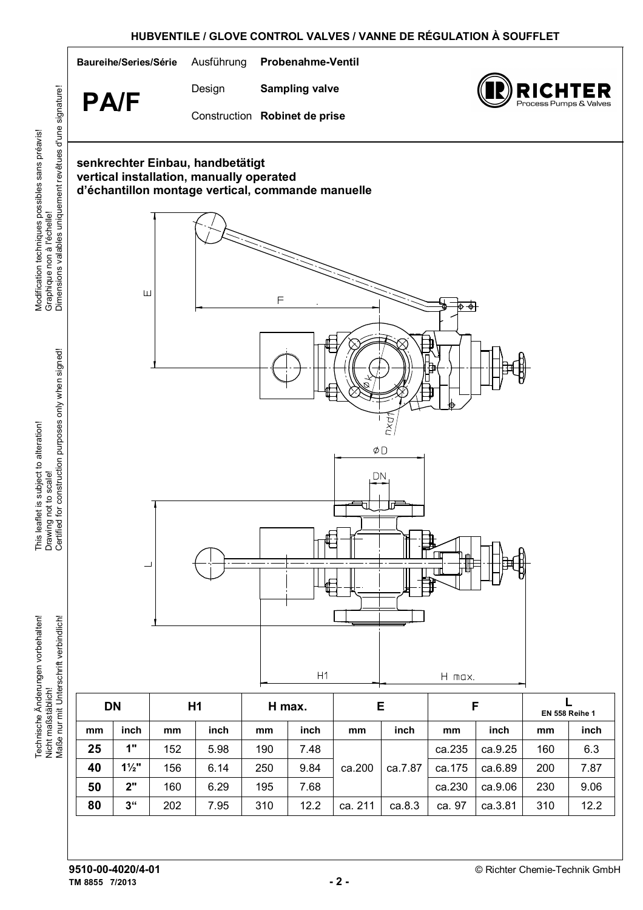

**TM 8855 7/2013 - 2 -** 

Modification techniques possibles sans préavis!

Modification techniques possibles sans préavis!

This leaflet is subject to alteration!

This leaflet is subject to alteration!

Technische Änderungen vorbehalten!

Technische Änderungen vorbehalten!

Nicht maßstäblich!

Drawing not to scale!

Graphique non à l'échelle!

**80 | 3" |** 202 | 7.95 | 310 | 12.2 |ca. 211 | ca.8.3 | ca. 97 | ca.3.81 | 310 | 12.2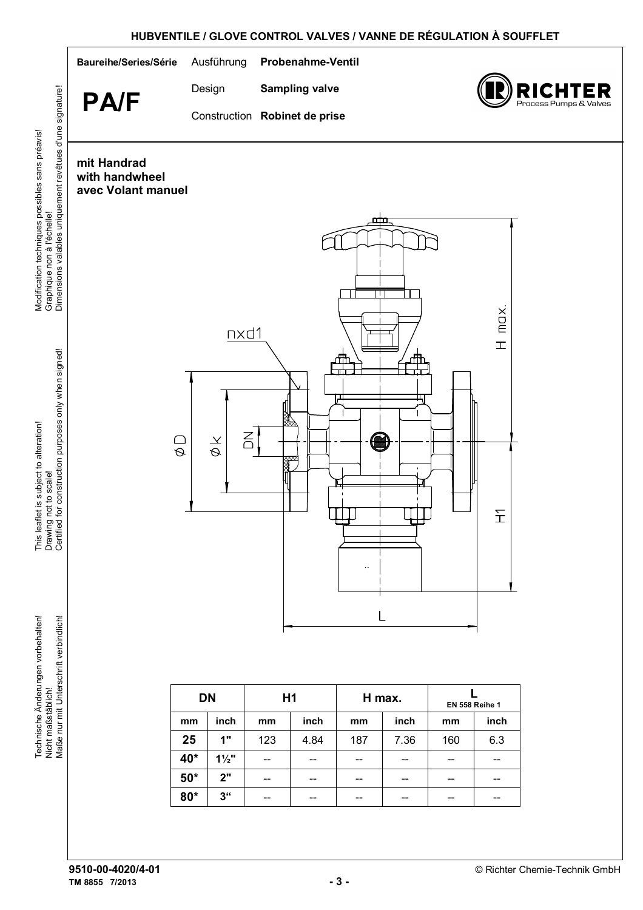## **HUBVENTILE / GLOVE CONTROL VALVES / VANNE DE RÉGULATION À SOUFFLET**



Modification techniques possibles sans préavis!

Modification techniques possibles sans préavis!

This leaflet is subject to alteration!

This leaflet is subject to alteration!

Technische Änderungen vorbehalten!

Technische Änderungen vorbehalten!

Nicht maßstäblich!

Drawing not to scale!

Graphique non à l'échelle!

**80\*** | 3" | -- | -- | -- | -- | -- | --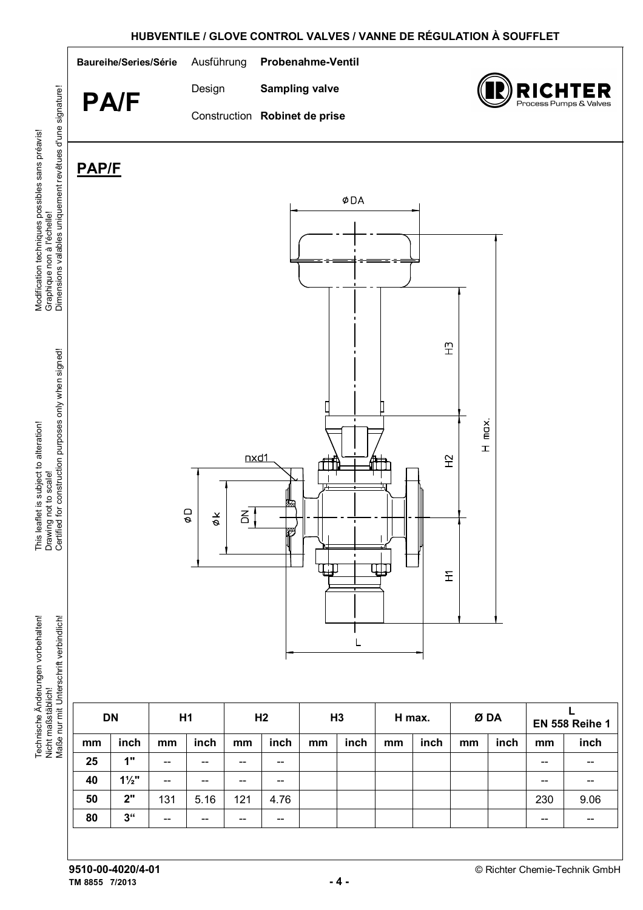

**TM 8855 7/2013 - 4 -**